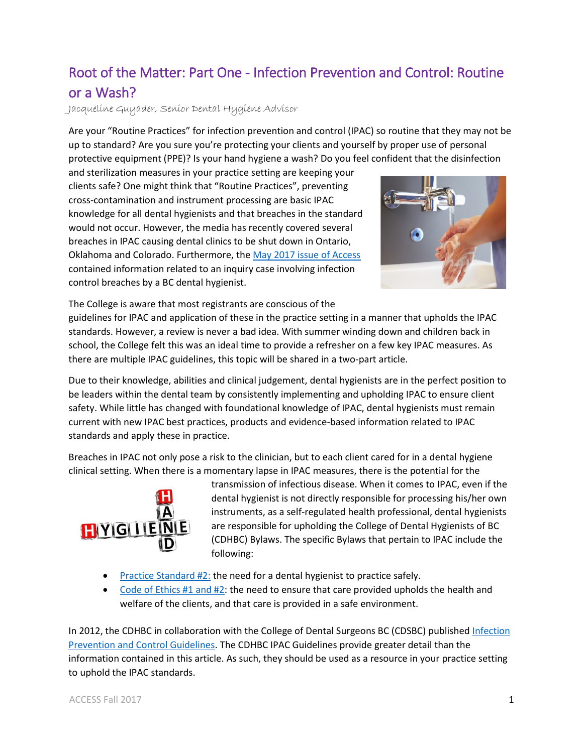## Root of the Matter: Part One - Infection Prevention and Control: Routine or a Wash?

Jacqueline Guyader, Senior Dental Hygiene Advisor

Are your "Routine Practices" for infection prevention and control (IPAC) so routine that they may not be up to standard? Are you sure you're protecting your clients and yourself by proper use of personal protective equipment (PPE)? Is your hand hygiene a wash? Do you feel confident that the disinfection

and sterilization measures in your practice setting are keeping your clients safe? One might think that "Routine Practices", preventing cross-contamination and instrument processing are basic IPAC knowledge for all dental hygienists and that breaches in the standard would not occur. However, the media has recently covered several breaches in IPAC causing dental clinics to be shut down in Ontario, Oklahoma and Colorado. Furthermore, th[e May 2017 issue of Access](http://www.cdhbc.com/News-Events/Current-Newsletter/May-2017.aspx#toc-public-notification-outcome-of-a-complaint-related-to-infection-control-protocols) contained information related to an inquiry case involving infection control breaches by a BC dental hygienist.



The College is aware that most registrants are conscious of the

guidelines for IPAC and application of these in the practice setting in a manner that upholds the IPAC standards. However, a review is never a bad idea. With summer winding down and children back in school, the College felt this was an ideal time to provide a refresher on a few key IPAC measures. As there are multiple IPAC guidelines, this topic will be shared in a two-part article.

Due to their knowledge, abilities and clinical judgement, dental hygienists are in the perfect position to be leaders within the dental team by consistently implementing and upholding IPAC to ensure client safety. While little has changed with foundational knowledge of IPAC, dental hygienists must remain current with new IPAC best practices, products and evidence-based information related to IPAC standards and apply these in practice.

Breaches in IPAC not only pose a risk to the clinician, but to each client cared for in a dental hygiene clinical setting. When there is a momentary lapse in IPAC measures, there is the potential for the



transmission of infectious disease. When it comes to IPAC, even if the dental hygienist is not directly responsible for processing his/her own instruments, as a self-regulated health professional, dental hygienists are responsible for upholding the College of Dental Hygienists of BC (CDHBC) Bylaws. The specific Bylaws that pertain to IPAC include the following:

- **[Practice Standard #2:](http://www.cdhbc.com/Practice-Resources/Practice-Standards/Standards-and-Policies.aspx) the need for a dental hygienist to practice safely.**
- [Code of Ethics](http://www.cdhbc.com/Practice-Resources/Code-of-Ethics.aspx) #1 and #2: the need to ensure that care provided upholds the health and welfare of the clients, and that care is provided in a safe environment.

In 2012, the CDHBC in collaboration with the College of Dental Surgeons BC (CDSBC) published Infection [Prevention and Control Guidelines.](http://www.cdhbc.com/Documents/Infection-Prevention.aspx) The CDHBC IPAC Guidelines provide greater detail than the information contained in this article. As such, they should be used as a resource in your practice setting to uphold the IPAC standards.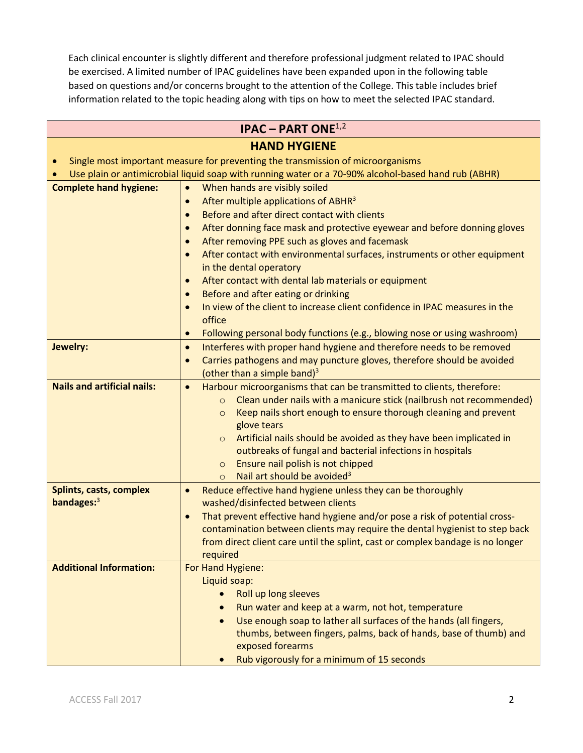Each clinical encounter is slightly different and therefore professional judgment related to IPAC should be exercised. A limited number of IPAC guidelines have been expanded upon in the following table based on questions and/or concerns brought to the attention of the College. This table includes brief information related to the topic heading along with tips on how to meet the selected IPAC standard.

| <b>IPAC – PART ONE</b> <sup>1,2</sup> |                                                                                                                                |  |  |
|---------------------------------------|--------------------------------------------------------------------------------------------------------------------------------|--|--|
| <b>HAND HYGIENE</b>                   |                                                                                                                                |  |  |
|                                       | Single most important measure for preventing the transmission of microorganisms                                                |  |  |
|                                       | Use plain or antimicrobial liquid soap with running water or a 70-90% alcohol-based hand rub (ABHR)                            |  |  |
| <b>Complete hand hygiene:</b>         | When hands are visibly soiled<br>$\bullet$                                                                                     |  |  |
|                                       | After multiple applications of ABHR <sup>3</sup><br>$\bullet$                                                                  |  |  |
|                                       | Before and after direct contact with clients<br>$\bullet$                                                                      |  |  |
|                                       | After donning face mask and protective eyewear and before donning gloves<br>$\bullet$                                          |  |  |
|                                       | After removing PPE such as gloves and facemask<br>$\bullet$                                                                    |  |  |
|                                       | After contact with environmental surfaces, instruments or other equipment<br>$\bullet$                                         |  |  |
|                                       | in the dental operatory                                                                                                        |  |  |
|                                       | After contact with dental lab materials or equipment<br>$\bullet$                                                              |  |  |
|                                       | Before and after eating or drinking<br>$\bullet$                                                                               |  |  |
|                                       | In view of the client to increase client confidence in IPAC measures in the<br>$\bullet$                                       |  |  |
|                                       | office                                                                                                                         |  |  |
|                                       | Following personal body functions (e.g., blowing nose or using washroom)<br>$\bullet$                                          |  |  |
| Jewelry:                              | Interferes with proper hand hygiene and therefore needs to be removed<br>$\bullet$                                             |  |  |
|                                       | Carries pathogens and may puncture gloves, therefore should be avoided<br>$\bullet$<br>(other than a simple band) <sup>3</sup> |  |  |
| <b>Nails and artificial nails:</b>    | Harbour microorganisms that can be transmitted to clients, therefore:<br>$\bullet$                                             |  |  |
|                                       | Clean under nails with a manicure stick (nailbrush not recommended)<br>$\circ$                                                 |  |  |
|                                       | Keep nails short enough to ensure thorough cleaning and prevent<br>$\circ$                                                     |  |  |
|                                       | glove tears                                                                                                                    |  |  |
|                                       | Artificial nails should be avoided as they have been implicated in<br>$\circ$                                                  |  |  |
|                                       | outbreaks of fungal and bacterial infections in hospitals                                                                      |  |  |
|                                       | Ensure nail polish is not chipped<br>$\circ$                                                                                   |  |  |
|                                       | Nail art should be avoided <sup>3</sup><br>$\Omega$                                                                            |  |  |
| Splints, casts, complex               | Reduce effective hand hygiene unless they can be thoroughly<br>$\bullet$                                                       |  |  |
| bandages: $3$                         | washed/disinfected between clients                                                                                             |  |  |
|                                       | That prevent effective hand hygiene and/or pose a risk of potential cross-<br>$\bullet$                                        |  |  |
|                                       | contamination between clients may require the dental hygienist to step back                                                    |  |  |
|                                       | from direct client care until the splint, cast or complex bandage is no longer                                                 |  |  |
|                                       | required                                                                                                                       |  |  |
| <b>Additional Information:</b>        | For Hand Hygiene:                                                                                                              |  |  |
|                                       | Liquid soap:<br>Roll up long sleeves                                                                                           |  |  |
|                                       | $\bullet$<br>Run water and keep at a warm, not hot, temperature                                                                |  |  |
|                                       | Use enough soap to lather all surfaces of the hands (all fingers,<br>$\bullet$                                                 |  |  |
|                                       | thumbs, between fingers, palms, back of hands, base of thumb) and                                                              |  |  |
|                                       | exposed forearms                                                                                                               |  |  |
|                                       | Rub vigorously for a minimum of 15 seconds<br>$\bullet$                                                                        |  |  |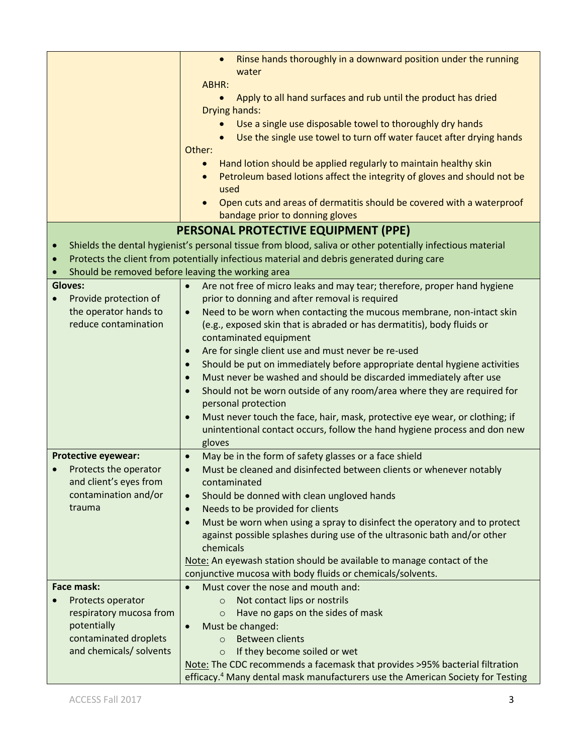|                            | Rinse hands thoroughly in a downward position under the running<br>$\bullet$<br>water                      |
|----------------------------|------------------------------------------------------------------------------------------------------------|
|                            | ABHR:                                                                                                      |
|                            | Apply to all hand surfaces and rub until the product has dried<br>$\bullet$<br>Drying hands:               |
|                            | Use a single use disposable towel to thoroughly dry hands                                                  |
|                            | Use the single use towel to turn off water faucet after drying hands                                       |
|                            | Other:                                                                                                     |
|                            | Hand lotion should be applied regularly to maintain healthy skin<br>$\bullet$                              |
|                            | Petroleum based lotions affect the integrity of gloves and should not be                                   |
|                            | used                                                                                                       |
|                            | Open cuts and areas of dermatitis should be covered with a waterproof                                      |
|                            | bandage prior to donning gloves                                                                            |
|                            | PERSONAL PROTECTIVE EQUIPMENT (PPE)                                                                        |
| $\bullet$                  | Shields the dental hygienist's personal tissue from blood, saliva or other potentially infectious material |
| $\bullet$                  | Protects the client from potentially infectious material and debris generated during care                  |
|                            | Should be removed before leaving the working area                                                          |
| <b>Gloves:</b>             | Are not free of micro leaks and may tear; therefore, proper hand hygiene<br>$\bullet$                      |
| Provide protection of      | prior to donning and after removal is required                                                             |
| the operator hands to      | Need to be worn when contacting the mucous membrane, non-intact skin<br>$\bullet$                          |
| reduce contamination       | (e.g., exposed skin that is abraded or has dermatitis), body fluids or                                     |
|                            | contaminated equipment                                                                                     |
|                            | Are for single client use and must never be re-used<br>$\bullet$                                           |
|                            | Should be put on immediately before appropriate dental hygiene activities<br>$\bullet$                     |
|                            | Must never be washed and should be discarded immediately after use<br>$\bullet$                            |
|                            | Should not be worn outside of any room/area where they are required for<br>$\bullet$                       |
|                            | personal protection                                                                                        |
|                            | Must never touch the face, hair, mask, protective eye wear, or clothing; if<br>$\bullet$                   |
|                            | unintentional contact occurs, follow the hand hygiene process and don new                                  |
|                            | gloves                                                                                                     |
| <b>Protective eyewear:</b> | May be in the form of safety glasses or a face shield<br>$\bullet$                                         |
| Protects the operator      | Must be cleaned and disinfected between clients or whenever notably<br>$\bullet$                           |
| and client's eyes from     | contaminated                                                                                               |
| contamination and/or       | Should be donned with clean ungloved hands<br>$\bullet$                                                    |
| trauma                     | Needs to be provided for clients<br>$\bullet$                                                              |
|                            | Must be worn when using a spray to disinfect the operatory and to protect<br>$\bullet$                     |
|                            | against possible splashes during use of the ultrasonic bath and/or other                                   |
|                            | chemicals                                                                                                  |
|                            | Note: An eyewash station should be available to manage contact of the                                      |
| <b>Face mask:</b>          | conjunctive mucosa with body fluids or chemicals/solvents.<br>Must cover the nose and mouth and:           |
| Protects operator          | Not contact lips or nostrils<br>$\circ$                                                                    |
| respiratory mucosa from    | Have no gaps on the sides of mask<br>$\circ$                                                               |
| potentially                | Must be changed:<br>$\bullet$                                                                              |
| contaminated droplets      | <b>Between clients</b><br>$\Omega$                                                                         |
| and chemicals/ solvents    | If they become soiled or wet<br>$\circ$                                                                    |
|                            | Note: The CDC recommends a facemask that provides >95% bacterial filtration                                |
|                            | efficacy. <sup>4</sup> Many dental mask manufacturers use the American Society for Testing                 |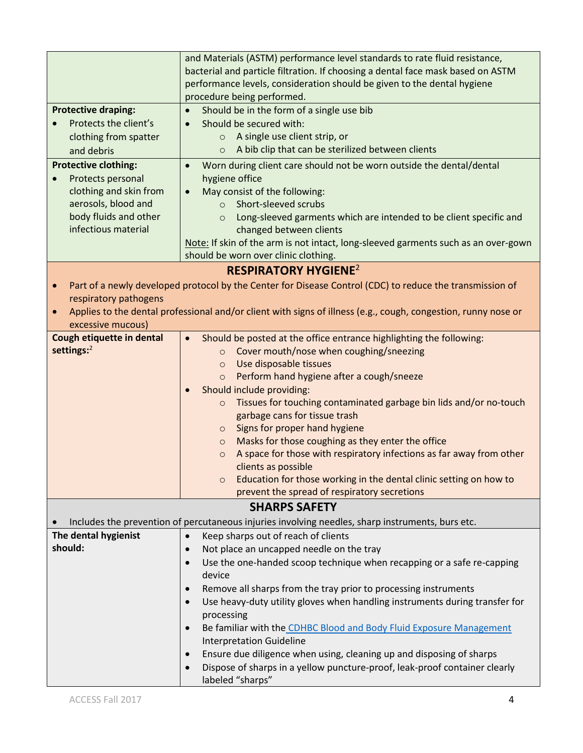|                                    | and Materials (ASTM) performance level standards to rate fluid resistance,                                                             |
|------------------------------------|----------------------------------------------------------------------------------------------------------------------------------------|
|                                    | bacterial and particle filtration. If choosing a dental face mask based on ASTM                                                        |
|                                    | performance levels, consideration should be given to the dental hygiene                                                                |
|                                    | procedure being performed.                                                                                                             |
| <b>Protective draping:</b>         | Should be in the form of a single use bib<br>$\bullet$                                                                                 |
| Protects the client's              | Should be secured with:<br>$\bullet$                                                                                                   |
| clothing from spatter              | A single use client strip, or<br>$\circ$                                                                                               |
| and debris                         | A bib clip that can be sterilized between clients<br>$\circ$                                                                           |
| <b>Protective clothing:</b>        | Worn during client care should not be worn outside the dental/dental<br>$\bullet$                                                      |
| Protects personal                  | hygiene office                                                                                                                         |
| clothing and skin from             | May consist of the following:<br>$\bullet$                                                                                             |
| aerosols, blood and                | Short-sleeved scrubs<br>$\Omega$                                                                                                       |
| body fluids and other              | Long-sleeved garments which are intended to be client specific and<br>$\circ$                                                          |
| infectious material                | changed between clients                                                                                                                |
|                                    | Note: If skin of the arm is not intact, long-sleeved garments such as an over-gown                                                     |
|                                    | should be worn over clinic clothing.                                                                                                   |
|                                    | <b>RESPIRATORY HYGIENE<sup>2</sup></b>                                                                                                 |
|                                    |                                                                                                                                        |
| $\bullet$<br>respiratory pathogens | Part of a newly developed protocol by the Center for Disease Control (CDC) to reduce the transmission of                               |
|                                    |                                                                                                                                        |
| $\bullet$<br>excessive mucous)     | Applies to the dental professional and/or client with signs of illness (e.g., cough, congestion, runny nose or                         |
| Cough etiquette in dental          |                                                                                                                                        |
| settings:2                         | Should be posted at the office entrance highlighting the following:<br>$\bullet$<br>Cover mouth/nose when coughing/sneezing<br>$\circ$ |
|                                    | Use disposable tissues<br>$\circ$                                                                                                      |
|                                    | Perform hand hygiene after a cough/sneeze<br>$\circ$                                                                                   |
|                                    | Should include providing:<br>$\bullet$                                                                                                 |
|                                    | Tissues for touching contaminated garbage bin lids and/or no-touch<br>$\circ$                                                          |
|                                    | garbage cans for tissue trash                                                                                                          |
|                                    | Signs for proper hand hygiene<br>$\circ$                                                                                               |
|                                    | Masks for those coughing as they enter the office<br>$\circ$                                                                           |
|                                    | A space for those with respiratory infections as far away from other<br>$\circ$                                                        |
|                                    | clients as possible                                                                                                                    |
|                                    | Education for those working in the dental clinic setting on how to<br>$\circ$                                                          |
|                                    | prevent the spread of respiratory secretions                                                                                           |
|                                    | <b>SHARPS SAFETY</b>                                                                                                                   |
|                                    | Includes the prevention of percutaneous injuries involving needles, sharp instruments, burs etc.                                       |
| The dental hygienist               | Keep sharps out of reach of clients<br>$\bullet$                                                                                       |
| should:                            | Not place an uncapped needle on the tray<br>$\bullet$                                                                                  |
|                                    | Use the one-handed scoop technique when recapping or a safe re-capping<br>$\bullet$                                                    |
|                                    | device                                                                                                                                 |
|                                    | Remove all sharps from the tray prior to processing instruments<br>$\bullet$                                                           |
|                                    | Use heavy-duty utility gloves when handling instruments during transfer for<br>$\bullet$                                               |
|                                    | processing                                                                                                                             |
|                                    | Be familiar with the CDHBC Blood and Body Fluid Exposure Management<br>$\bullet$                                                       |
|                                    | <b>Interpretation Guideline</b>                                                                                                        |
|                                    | Ensure due diligence when using, cleaning up and disposing of sharps<br>$\bullet$                                                      |
|                                    | Dispose of sharps in a yellow puncture-proof, leak-proof container clearly<br>$\bullet$                                                |
|                                    | labeled "sharps"                                                                                                                       |